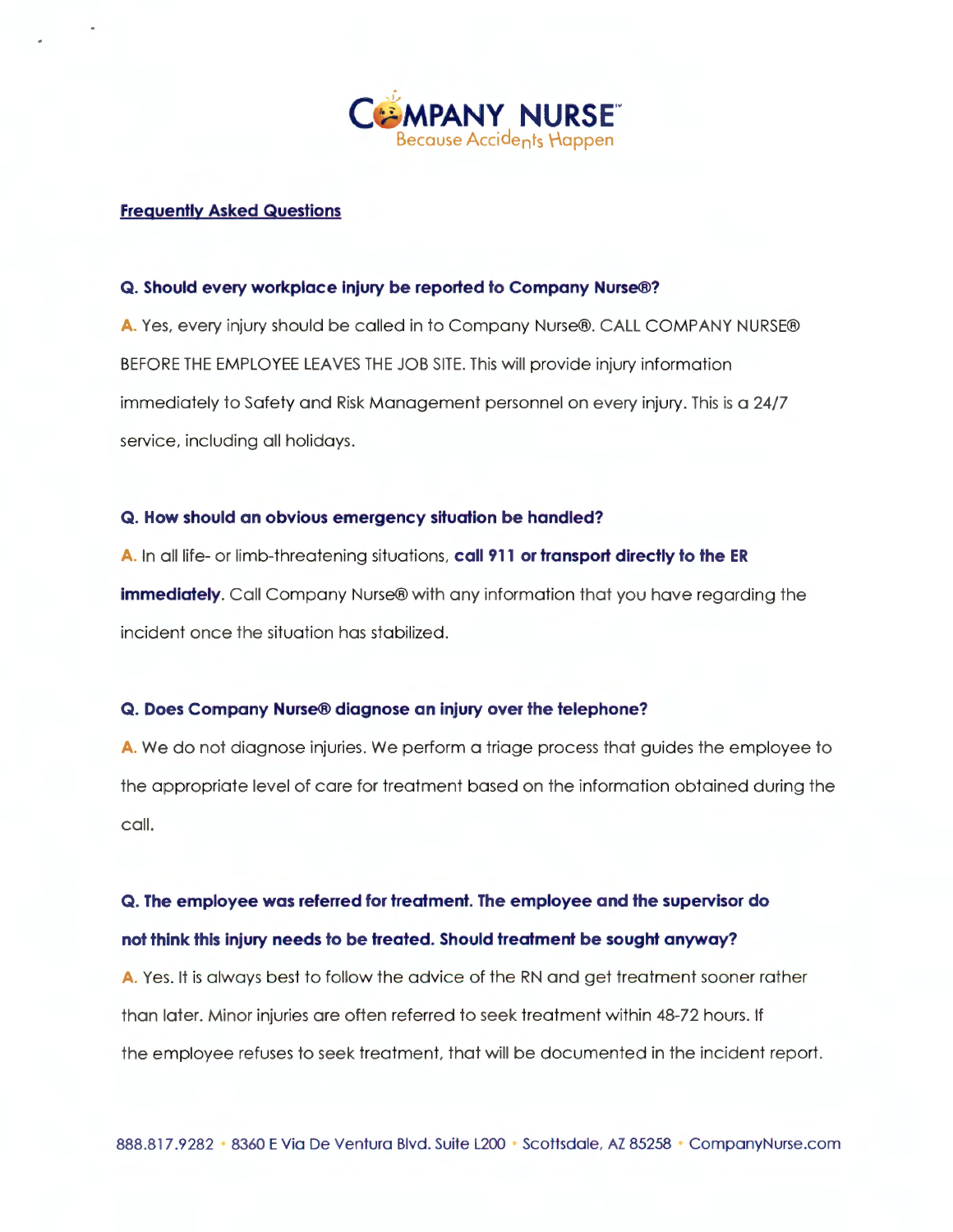

#### **Frequently Asked Questions**

#### **Q. Should every workplace injury be reported to Company Nurse®?**

**A.** Yes, every injury should be called in to Company Nurse®. CALL COMPANY NURSE® BEFORE THE EMPLOYEE LEAVES THE JOB SITE. This will provide injury information immediately to Safety and Risk Management personnel on every injury. This is a 24/7 service, including all holidays.

#### **Q. How should an obvious emergency situation be handled?**

**A.** In all life- or limb-threatening situations, **call 911 or transport directly to the ER immediately.** Call Company Nurse® with any information that you have regarding the incident once the situation has stabilized.

#### **Q. Does Company Nurse® diagnose an injury over the telephone?**

**A.** We do not diagnose injuries. We perform a triage process that guides the employee to the appropriate level of care for treatment based on the information obtained during the call.

# **Q . The employee was referred for treatment. The employee and the supervisor do not think this injury needs to be treated. Should treatment be sought anyway?**

**A.** Yes. It is always best to follow the advice of the RN and get treatment sooner rather than later. Minor injuries are often referred to seek treatment within 48-72 hours. If the employee refuses to seek treatment, that will be documented in the incident report.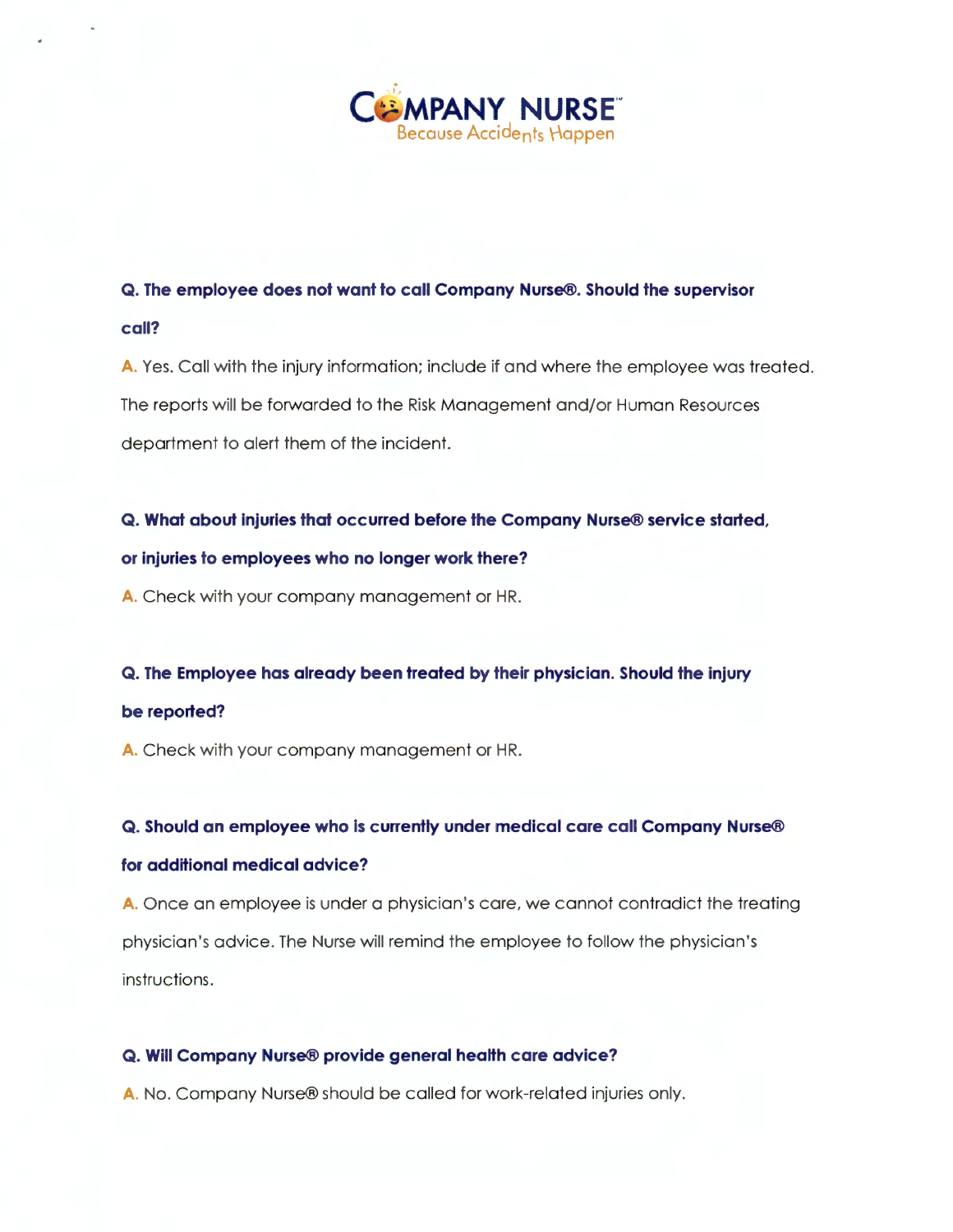

# **Q. The employee does not want to call Company Nurse®. Should the supervisor**

#### **call?**

**A.** Yes. Call with the injury information; include if and where the employee was treated. The reports will be forwarded to the Risk Management and/or Human Resources department to alert them of the incident.

# **Q . What about injuries that occurred before the Company Nurse® service started,**

# **or injuries to employees who no longer work there?**

**A.** Check with your company management or HR.

#### **Q. The Employee has already been treated by their physician. Should the injury**

#### **be reported?**

**A.** Check with your company management or HR.

#### **Q. Should an employee who is currently under medical care call Company Nurse®**

#### **for additional medical advice?**

**A.** Once an employee is under a physician 's care, we cannot contradict the treating physician's advice. The Nurse will remind the employee to follow the physician's instructions.

# **Q . Will Company Nurse® provide general health care advice?**

**A.** No. Company Nurse® should be called for work-related injuries only.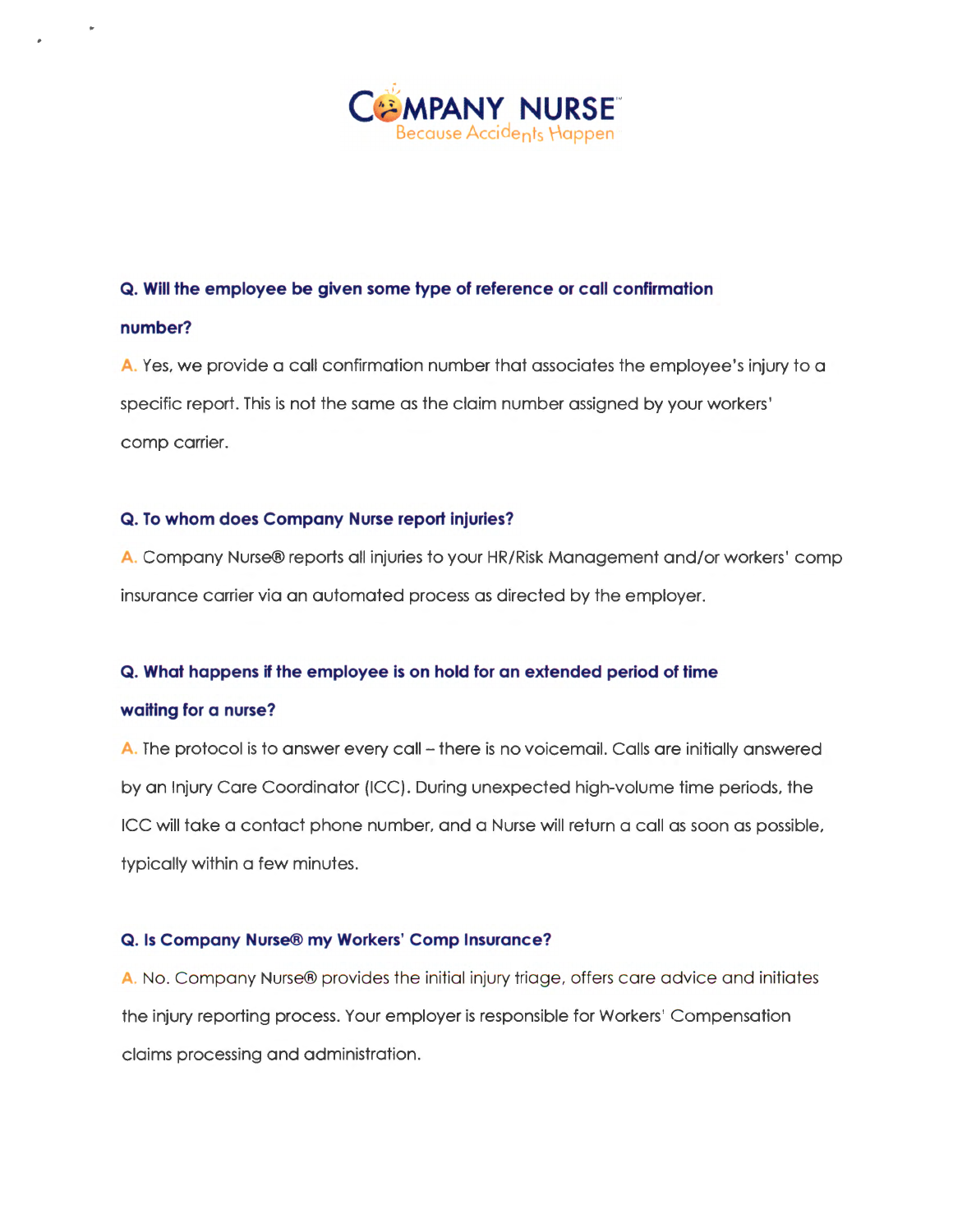

### **Q. Will the employee be given some type of reference or call confirmation**

#### **number?**

**A.** Yes, we provide a call confirmation number that associates the employee's injury to a specific report. This is not the same as the claim number assigned by your workers' comp carrier.

### **Q . To whom does Company Nurse report injuries?**

**A.** Company Nurse® reports all injuries to your HR/Risk Management and/or workers' comp insurance carrier via an automated process as directed by the employer.

#### **Q . What happens if the employee is on hold for an extended period of time**

#### **waiting for a nurse?**

A. The protocol is to answer every call - there is no voicemail. Calls are initially answered by an Injury Care Coordinator (ICC). During unexpected high-volume time periods, the ICC will take a contact phone number, and a Nurse will return a call as soon as possible, typically within a few minutes.

#### **Q. Is Company Nurse® my Workers' Comp Insurance?**

**A.** No. Company Nurse® provides the initial injury triage, offers care advice and initiates the injury reporting process. Your employer is responsible for Workers' Compensation claims processing and administration.